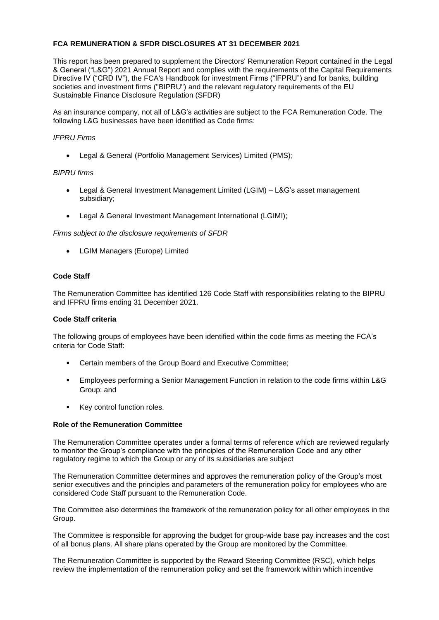## **FCA REMUNERATION & SFDR DISCLOSURES AT 31 DECEMBER 2021**

This report has been prepared to supplement the Directors' Remuneration Report contained in the Legal & General ("L&G") 2021 Annual Report and complies with the requirements of the Capital Requirements Directive IV ("CRD IV"), the FCA's Handbook for investment Firms ("IFPRU") and for banks, building societies and investment firms ("BIPRU") and the relevant regulatory requirements of the EU Sustainable Finance Disclosure Regulation (SFDR)

As an insurance company, not all of L&G's activities are subject to the FCA Remuneration Code. The following L&G businesses have been identified as Code firms:

## *IFPRU Firms*

• Legal & General (Portfolio Management Services) Limited (PMS);

## *BIPRU firms*

- Legal & General Investment Management Limited (LGIM) L&G's asset management subsidiary;
- Legal & General Investment Management International (LGIMI);

*Firms subject to the disclosure requirements of SFDR*

• LGIM Managers (Europe) Limited

# **Code Staff**

The Remuneration Committee has identified 126 Code Staff with responsibilities relating to the BIPRU and IFPRU firms ending 31 December 2021.

## **Code Staff criteria**

The following groups of employees have been identified within the code firms as meeting the FCA's criteria for Code Staff:

- Certain members of the Group Board and Executive Committee;
- Employees performing a Senior Management Function in relation to the code firms within L&G Group; and
- Key control function roles.

## **Role of the Remuneration Committee**

The Remuneration Committee operates under a formal terms of reference which are reviewed regularly to monitor the Group's compliance with the principles of the Remuneration Code and any other regulatory regime to which the Group or any of its subsidiaries are subject

The Remuneration Committee determines and approves the remuneration policy of the Group's most senior executives and the principles and parameters of the remuneration policy for employees who are considered Code Staff pursuant to the Remuneration Code.

The Committee also determines the framework of the remuneration policy for all other employees in the Group.

The Committee is responsible for approving the budget for group-wide base pay increases and the cost of all bonus plans. All share plans operated by the Group are monitored by the Committee.

The Remuneration Committee is supported by the Reward Steering Committee (RSC), which helps review the implementation of the remuneration policy and set the framework within which incentive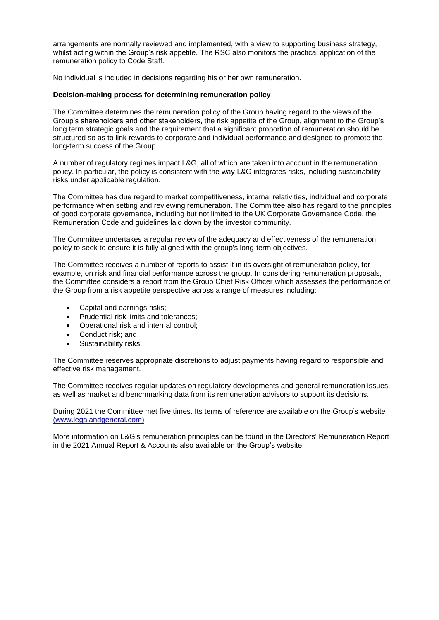arrangements are normally reviewed and implemented, with a view to supporting business strategy, whilst acting within the Group's risk appetite. The RSC also monitors the practical application of the remuneration policy to Code Staff.

No individual is included in decisions regarding his or her own remuneration.

### **Decision-making process for determining remuneration policy**

The Committee determines the remuneration policy of the Group having regard to the views of the Group's shareholders and other stakeholders, the risk appetite of the Group, alignment to the Group's long term strategic goals and the requirement that a significant proportion of remuneration should be structured so as to link rewards to corporate and individual performance and designed to promote the long-term success of the Group.

A number of regulatory regimes impact L&G, all of which are taken into account in the remuneration policy. In particular, the policy is consistent with the way L&G integrates risks, including sustainability risks under applicable regulation.

The Committee has due regard to market competitiveness, internal relativities, individual and corporate performance when setting and reviewing remuneration. The Committee also has regard to the principles of good corporate governance, including but not limited to the UK Corporate Governance Code, the Remuneration Code and guidelines laid down by the investor community.

The Committee undertakes a regular review of the adequacy and effectiveness of the remuneration policy to seek to ensure it is fully aligned with the group's long-term objectives.

The Committee receives a number of reports to assist it in its oversight of remuneration policy, for example, on risk and financial performance across the group. In considering remuneration proposals, the Committee considers a report from the Group Chief Risk Officer which assesses the performance of the Group from a risk appetite perspective across a range of measures including:

- Capital and earnings risks;
- Prudential risk limits and tolerances;
- Operational risk and internal control;
- Conduct risk; and
- Sustainability risks.

The Committee reserves appropriate discretions to adjust payments having regard to responsible and effective risk management.

The Committee receives regular updates on regulatory developments and general remuneration issues, as well as market and benchmarking data from its remuneration advisors to support its decisions.

During 2021 the Committee met five times. Its terms of reference are available on the Group's website [\(www.legalandgeneral.com\)](https://group.legalandgeneral.com/media/kdcpijlt/remuneration-committee-terms-of-reference-december-2021-approved-16-12-2021.pdf)

More information on L&G's remuneration principles can be found in the Directors' Remuneration Report in the 2021 Annual Report & Accounts also available on the Group's website.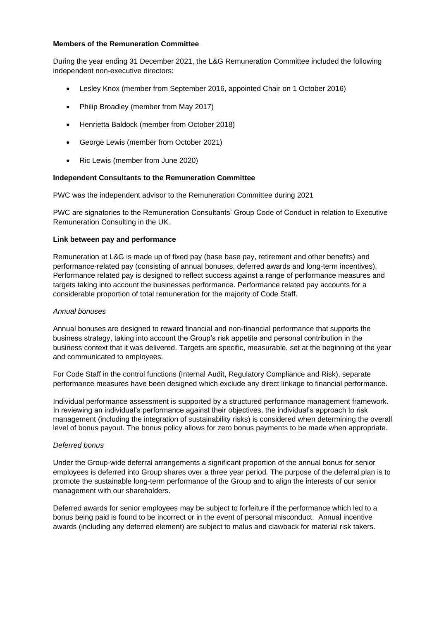### **Members of the Remuneration Committee**

During the year ending 31 December 2021, the L&G Remuneration Committee included the following independent non-executive directors:

- Lesley Knox (member from September 2016, appointed Chair on 1 October 2016)
- Philip Broadley (member from May 2017)
- Henrietta Baldock (member from October 2018)
- George Lewis (member from October 2021)
- Ric Lewis (member from June 2020)

## **Independent Consultants to the Remuneration Committee**

PWC was the independent advisor to the Remuneration Committee during 2021

PWC are signatories to the Remuneration Consultants' Group Code of Conduct in relation to Executive Remuneration Consulting in the UK.

### **Link between pay and performance**

Remuneration at L&G is made up of fixed pay (base base pay, retirement and other benefits) and performance-related pay (consisting of annual bonuses, deferred awards and long-term incentives). Performance related pay is designed to reflect success against a range of performance measures and targets taking into account the businesses performance. Performance related pay accounts for a considerable proportion of total remuneration for the majority of Code Staff.

#### *Annual bonuses*

Annual bonuses are designed to reward financial and non-financial performance that supports the business strategy, taking into account the Group's risk appetite and personal contribution in the business context that it was delivered. Targets are specific, measurable, set at the beginning of the year and communicated to employees.

For Code Staff in the control functions (Internal Audit, Regulatory Compliance and Risk), separate performance measures have been designed which exclude any direct linkage to financial performance.

Individual performance assessment is supported by a structured performance management framework. In reviewing an individual's performance against their objectives, the individual's approach to risk management (including the integration of sustainability risks) is considered when determining the overall level of bonus payout. The bonus policy allows for zero bonus payments to be made when appropriate.

#### *Deferred bonus*

Under the Group-wide deferral arrangements a significant proportion of the annual bonus for senior employees is deferred into Group shares over a three year period. The purpose of the deferral plan is to promote the sustainable long-term performance of the Group and to align the interests of our senior management with our shareholders.

Deferred awards for senior employees may be subject to forfeiture if the performance which led to a bonus being paid is found to be incorrect or in the event of personal misconduct. Annual incentive awards (including any deferred element) are subject to malus and clawback for material risk takers.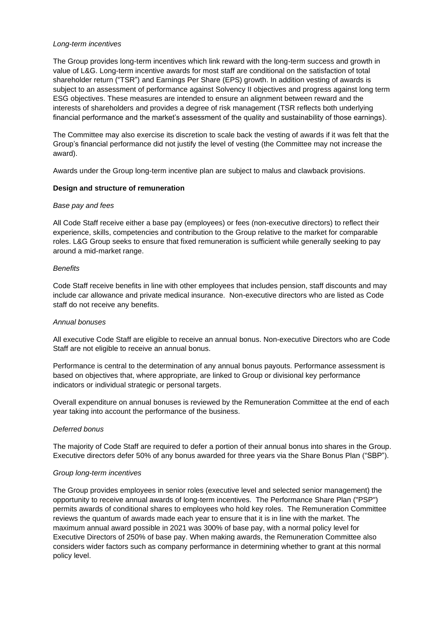### *Long-term incentives*

The Group provides long-term incentives which link reward with the long-term success and growth in value of L&G. Long-term incentive awards for most staff are conditional on the satisfaction of total shareholder return ("TSR") and Earnings Per Share (EPS) growth. In addition vesting of awards is subject to an assessment of performance against Solvency II objectives and progress against long term ESG objectives. These measures are intended to ensure an alignment between reward and the interests of shareholders and provides a degree of risk management (TSR reflects both underlying financial performance and the market's assessment of the quality and sustainability of those earnings).

The Committee may also exercise its discretion to scale back the vesting of awards if it was felt that the Group's financial performance did not justify the level of vesting (the Committee may not increase the award).

Awards under the Group long-term incentive plan are subject to malus and clawback provisions.

### **Design and structure of remuneration**

#### *Base pay and fees*

All Code Staff receive either a base pay (employees) or fees (non-executive directors) to reflect their experience, skills, competencies and contribution to the Group relative to the market for comparable roles. L&G Group seeks to ensure that fixed remuneration is sufficient while generally seeking to pay around a mid-market range.

### *Benefits*

Code Staff receive benefits in line with other employees that includes pension, staff discounts and may include car allowance and private medical insurance. Non-executive directors who are listed as Code staff do not receive any benefits.

#### *Annual bonuses*

All executive Code Staff are eligible to receive an annual bonus. Non-executive Directors who are Code Staff are not eligible to receive an annual bonus.

Performance is central to the determination of any annual bonus payouts. Performance assessment is based on objectives that, where appropriate, are linked to Group or divisional key performance indicators or individual strategic or personal targets.

Overall expenditure on annual bonuses is reviewed by the Remuneration Committee at the end of each year taking into account the performance of the business.

## *Deferred bonus*

The majority of Code Staff are required to defer a portion of their annual bonus into shares in the Group. Executive directors defer 50% of any bonus awarded for three years via the Share Bonus Plan ("SBP").

## *Group long-term incentives*

The Group provides employees in senior roles (executive level and selected senior management) the opportunity to receive annual awards of long-term incentives. The Performance Share Plan ("PSP") permits awards of conditional shares to employees who hold key roles. The Remuneration Committee reviews the quantum of awards made each year to ensure that it is in line with the market. The maximum annual award possible in 2021 was 300% of base pay, with a normal policy level for Executive Directors of 250% of base pay. When making awards, the Remuneration Committee also considers wider factors such as company performance in determining whether to grant at this normal policy level.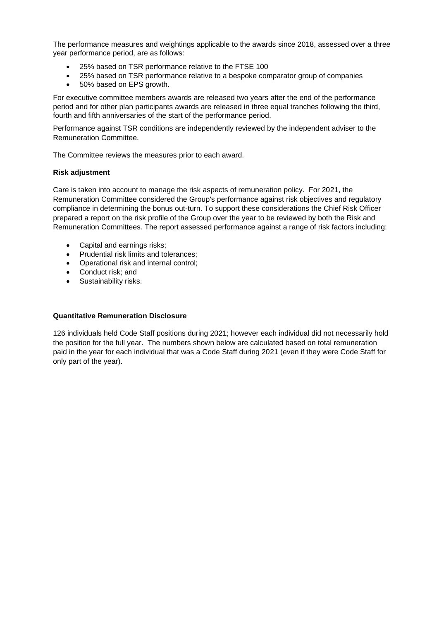The performance measures and weightings applicable to the awards since 2018, assessed over a three year performance period, are as follows:

- 25% based on TSR performance relative to the FTSE 100
- 25% based on TSR performance relative to a bespoke comparator group of companies
- 50% based on EPS growth.

For executive committee members awards are released two years after the end of the performance period and for other plan participants awards are released in three equal tranches following the third, fourth and fifth anniversaries of the start of the performance period.

Performance against TSR conditions are independently reviewed by the independent adviser to the Remuneration Committee.

The Committee reviews the measures prior to each award.

### **Risk adjustment**

Care is taken into account to manage the risk aspects of remuneration policy. For 2021, the Remuneration Committee considered the Group's performance against risk objectives and regulatory compliance in determining the bonus out-turn. To support these considerations the Chief Risk Officer prepared a report on the risk profile of the Group over the year to be reviewed by both the Risk and Remuneration Committees. The report assessed performance against a range of risk factors including:

- Capital and earnings risks;
- Prudential risk limits and tolerances;
- Operational risk and internal control;
- Conduct risk; and
- Sustainability risks.

#### **Quantitative Remuneration Disclosure**

126 individuals held Code Staff positions during 2021; however each individual did not necessarily hold the position for the full year. The numbers shown below are calculated based on total remuneration paid in the year for each individual that was a Code Staff during 2021 (even if they were Code Staff for only part of the year).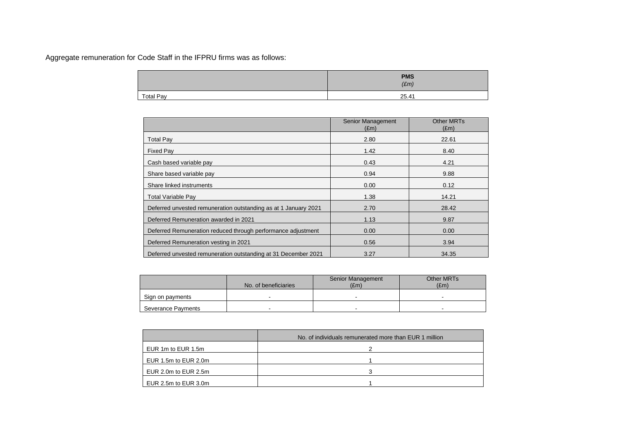Aggregate remuneration for Code Staff in the IFPRU firms was as follows:

|                  | <b>PMS</b><br>$(\pounds m)$ |
|------------------|-----------------------------|
| <b>Total Pay</b> | 25.41                       |

|                                                                 | Senior Management<br>$(\text{Em})$ | Other MRTs<br>$(\text{Em})$ |
|-----------------------------------------------------------------|------------------------------------|-----------------------------|
| <b>Total Pay</b>                                                | 2.80                               | 22.61                       |
| <b>Fixed Pay</b>                                                | 1.42                               | 8.40                        |
| Cash based variable pay                                         | 0.43                               | 4.21                        |
| Share based variable pay                                        | 0.94                               | 9.88                        |
| Share linked instruments                                        | 0.00                               | 0.12                        |
| Total Variable Pay                                              | 1.38                               | 14.21                       |
| Deferred unvested remuneration outstanding as at 1 January 2021 | 2.70                               | 28.42                       |
| Deferred Remuneration awarded in 2021                           | 1.13                               | 9.87                        |
| Deferred Remuneration reduced through performance adjustment    | 0.00                               | 0.00                        |
| Deferred Remuneration vesting in 2021                           | 0.56                               | 3.94                        |
| Deferred unvested remuneration outstanding at 31 December 2021  | 3.27                               | 34.35                       |

|                    | No. of beneficiaries | <b>Senior Management</b><br>E(m) | <b>Other MRTs</b><br>E(m) |
|--------------------|----------------------|----------------------------------|---------------------------|
|                    |                      |                                  |                           |
| Sign on payments   |                      | $\overline{\phantom{0}}$         |                           |
| Severance Payments | -                    | $\blacksquare$                   |                           |

|                      | No. of individuals remunerated more than EUR 1 million |  |  |
|----------------------|--------------------------------------------------------|--|--|
| EUR 1m to EUR 1.5m   |                                                        |  |  |
| EUR 1.5m to EUR 2.0m |                                                        |  |  |
| EUR 2.0m to EUR 2.5m |                                                        |  |  |
| EUR 2.5m to EUR 3.0m |                                                        |  |  |